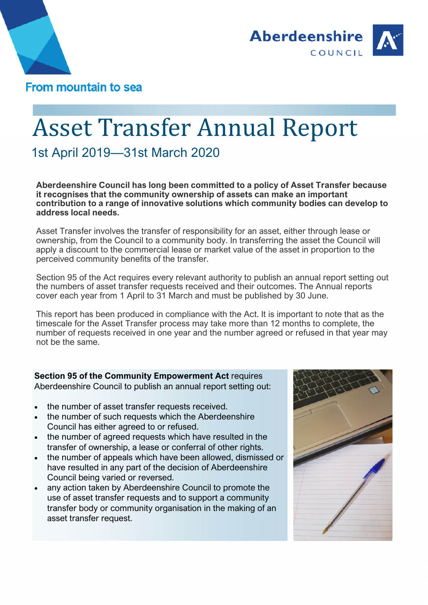



# Asset Transfer Annual Report

1st April 2019—31st March 2020

**Aberdeenshire Council has long been committed to a policy of Asset Transfer because it recognises that the community ownership of assets can make an important contribution to a range of innovative solutions which community bodies can develop to address local needs.** 

Asset Transfer involves the transfer of responsibility for an asset, either through lease or ownership, from the Council to a community body. In transferring the asset the Council will apply a discount to the commercial lease or market value of the asset in proportion to the perceived community benefits of the transfer.

Section 95 of the Act requires every relevant authority to publish an annual report setting out the numbers of asset transfer requests received and their outcomes. The Annual reports cover each year from 1 April to 31 March and must be published by 30 June.

This report has been produced in compliance with the Act. It is important to note that as the timescale for the Asset Transfer process may take more than 12 months to complete, the number of requests received in one year and the number agreed or refused in that year may not be the same.

**Section 95 of the Community Empowerment Act** requires Aberdeenshire Council to publish an annual report setting out:

- the number of asset transfer requests received.
- the number of such requests which the Aberdeenshire Council has either agreed to or refused.
- the number of agreed requests which have resulted in the transfer of ownership, a lease or conferral of other rights.
- the number of appeals which have been allowed, dismissed or have resulted in any part of the decision of Aberdeenshire Council being varied or reversed.
- any action taken by Aberdeenshire Council to promote the use of asset transfer requests and to support a community transfer body or community organisation in the making of an asset transfer request.

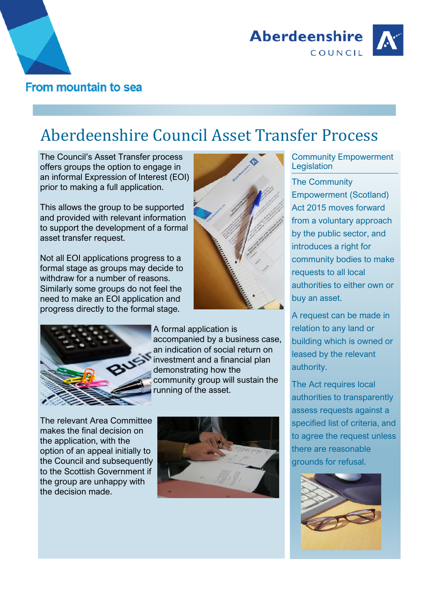



## Aberdeenshire Council Asset Transfer Process

The Council's Asset Transfer process offers groups the option to engage in an informal Expression of Interest (EOI) prior to making a full application.

This allows the group to be supported and provided with relevant information to support the development of a formal asset transfer request.

Not all EOI applications progress to a formal stage as groups may decide to withdraw for a number of reasons. Similarly some groups do not feel the need to make an EOI application and progress directly to the formal stage.



A formal application is accompanied by a business case, an indication of social return on investment and a financial plan demonstrating how the community group will sustain the running of the asset.

The relevant Area Committee makes the final decision on the application, with the option of an appeal initially to the Council and subsequently to the Scottish Government if the group are unhappy with the decision made.



Community Empowerment **Legislation** 

The Community Empowerment (Scotland) Act 2015 moves forward from a voluntary approach by the public sector, and introduces a right for community bodies to make requests to all local authorities to either own or buy an asset.

A request can be made in relation to any land or building which is owned or leased by the relevant authority.

The Act requires local authorities to transparently assess requests against a specified list of criteria, and to agree the request unless there are reasonable grounds for refusal.

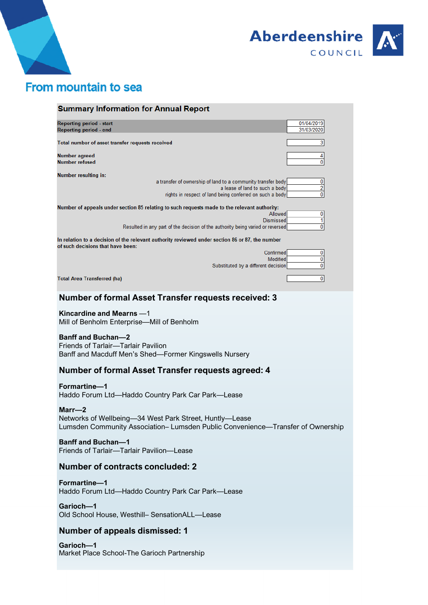



### From mountain to sea

| <b>Summary Information for Annual Report</b>                                                                                                             |                            |
|----------------------------------------------------------------------------------------------------------------------------------------------------------|----------------------------|
| <b>Reporting period - start</b><br>Reporting period - end                                                                                                | 01/04/2019<br>31/03/2020   |
|                                                                                                                                                          |                            |
| Total number of asset transfer requests received                                                                                                         | 3                          |
| Number agreed                                                                                                                                            | 4                          |
| <b>Number refused</b>                                                                                                                                    | $\mathbf{0}$               |
| <b>Number resulting in:</b>                                                                                                                              |                            |
| a transfer of ownership of land to a community transfer body                                                                                             | 0                          |
| a lease of land to such a body<br>rights in respect of land being conferred on such a body                                                               | $\overline{c}$<br>$\bf{0}$ |
|                                                                                                                                                          |                            |
| Number of appeals under section 85 relating to such requests made to the relevant authority:<br>Allowed                                                  | 0                          |
| <b>Dismissed</b>                                                                                                                                         | 1                          |
| Resulted in any part of the decision of the authority being varied or reversed                                                                           | 0                          |
| In relation to a decision of the relevant authority reviewed under section 86 or 87, the number<br>of such decisions that have been:                     |                            |
| Confirmed                                                                                                                                                | 0                          |
| Modified                                                                                                                                                 | 0                          |
| Substituted by a different decision                                                                                                                      | $\mathbf{0}$               |
| <b>Total Area Transferred (ha)</b>                                                                                                                       | $\overline{0}$             |
| <b>Number of formal Asset Transfer requests received: 3</b>                                                                                              |                            |
| Kincardine and Mearns -1<br>Mill of Benholm Enterprise-Mill of Benholm                                                                                   |                            |
| <b>Banff and Buchan-2</b><br>Friends of Tarlair-Tarlair Pavilion<br>Banff and Macduff Men's Shed-Former Kingswells Nursery                               |                            |
| Number of formal Asset Transfer requests agreed: 4                                                                                                       |                            |
| Formartine-1<br>Haddo Forum Ltd-Haddo Country Park Car Park-Lease                                                                                        |                            |
| $Marr - 2$<br>Networks of Wellbeing-34 West Park Street, Huntly-Lease<br>Lumsden Community Association- Lumsden Public Convenience-Transfer of Ownership |                            |
| <b>Banff and Buchan-1</b><br>Friends of Tarlair-Tarlair Pavilion-Lease                                                                                   |                            |
| <b>Number of contracts concluded: 2</b>                                                                                                                  |                            |
| Formartine-1<br>Haddo Forum Ltd-Haddo Country Park Car Park-Lease                                                                                        |                            |
| Garioch-1<br>Old School House, Westhill- SensationALL-Lease                                                                                              |                            |

#### **Number of appeals dismissed: 1**

**Garioch—1** Market Place School-The Garioch Partnership